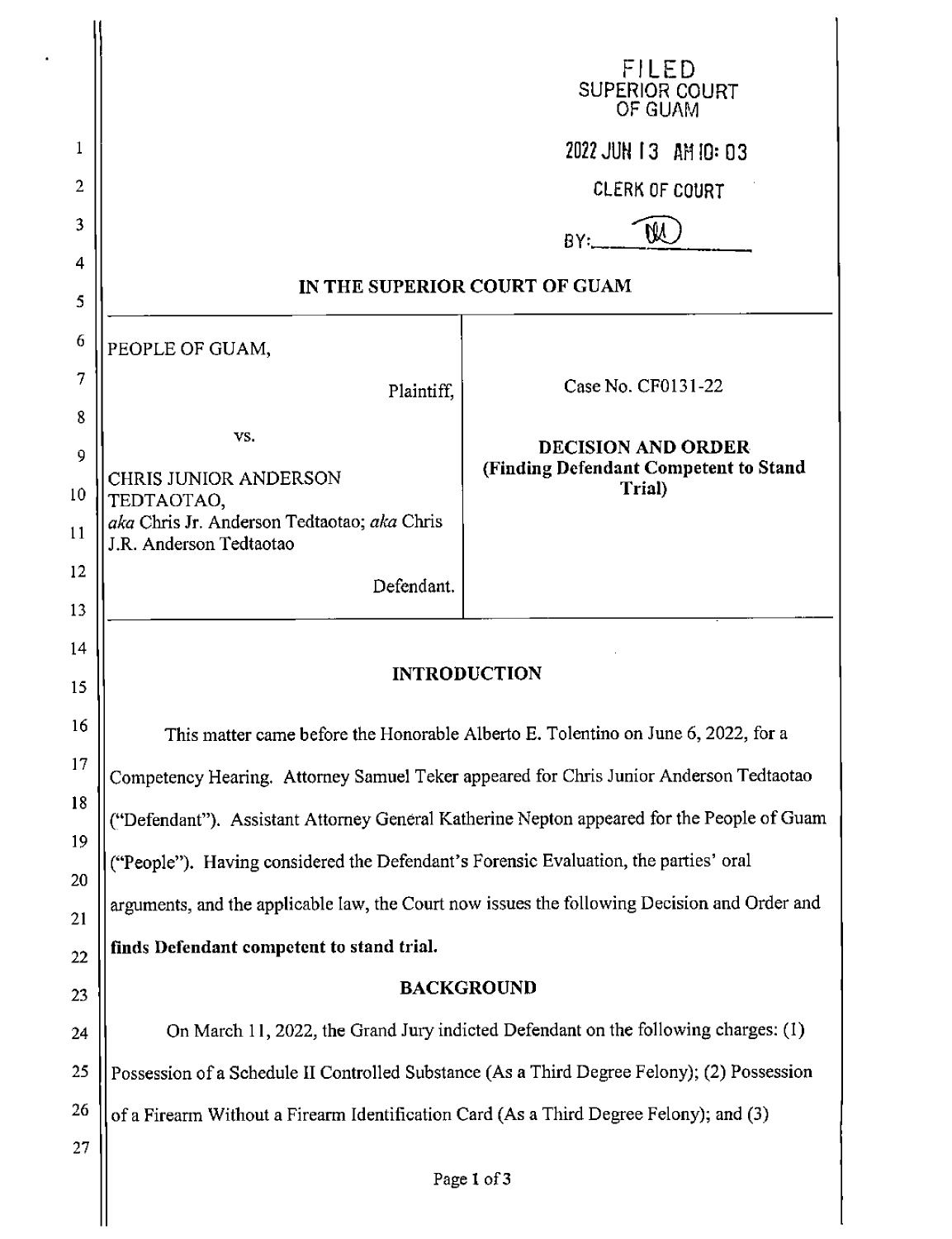|          |                                                                                              | FILED<br>SUPERIOR COURT<br>OF GUAM              |  |
|----------|----------------------------------------------------------------------------------------------|-------------------------------------------------|--|
| 1        |                                                                                              | 2022 JUN 13 AM 10: 03                           |  |
| 2        |                                                                                              | <b>CLERK OF COURT</b>                           |  |
| 3        |                                                                                              | W<br>BY.                                        |  |
| 4        | IN THE SUPERIOR COURT OF GUAM                                                                |                                                 |  |
| 5        |                                                                                              |                                                 |  |
| 6        | PEOPLE OF GUAM,                                                                              |                                                 |  |
| 7        | Plaintiff,                                                                                   | Case No. CF0131-22                              |  |
| 8<br>9   | VS.                                                                                          | <b>DECISION AND ORDER</b>                       |  |
| 10       | CHRIS JUNIOR ANDERSON                                                                        | (Finding Defendant Competent to Stand<br>Trial) |  |
| 11       | TEDTAOTAO,<br>aka Chris Jr. Anderson Tedtaotao; aka Chris<br>J.R. Anderson Tedtaotao         |                                                 |  |
| 12       | Defendant.                                                                                   |                                                 |  |
| 13       |                                                                                              |                                                 |  |
| 14<br>15 | <b>INTRODUCTION</b>                                                                          |                                                 |  |
| 16       | This matter came before the Honorable Alberto E. Tolentino on June 6, 2022, for a            |                                                 |  |
| 17       | Competency Hearing. Attorney Samuel Teker appeared for Chris Junior Anderson Tedtaotao       |                                                 |  |
| 18       | ("Defendant"). Assistant Attorney General Katherine Nepton appeared for the People of Guam   |                                                 |  |
| 19       | ("People"). Having considered the Defendant's Forensic Evaluation, the parties' oral         |                                                 |  |
| 20       | arguments, and the applicable law, the Court now issues the following Decision and Order and |                                                 |  |
| 21<br>22 | finds Defendant competent to stand trial.                                                    |                                                 |  |
| 23       |                                                                                              | <b>BACKGROUND</b>                               |  |
| 24       | On March 11, 2022, the Grand Jury indicted Defendant on the following charges: (1)           |                                                 |  |
| 25       | Possession of a Schedule II Controlled Substance (As a Third Degree Felony); (2) Possession  |                                                 |  |
| 26       | of a Firearm Without a Firearm Identification Card (As a Third Degree Felony); and (3)       |                                                 |  |
| 27       |                                                                                              |                                                 |  |

 $\hat{\mathbf{r}}$ 

II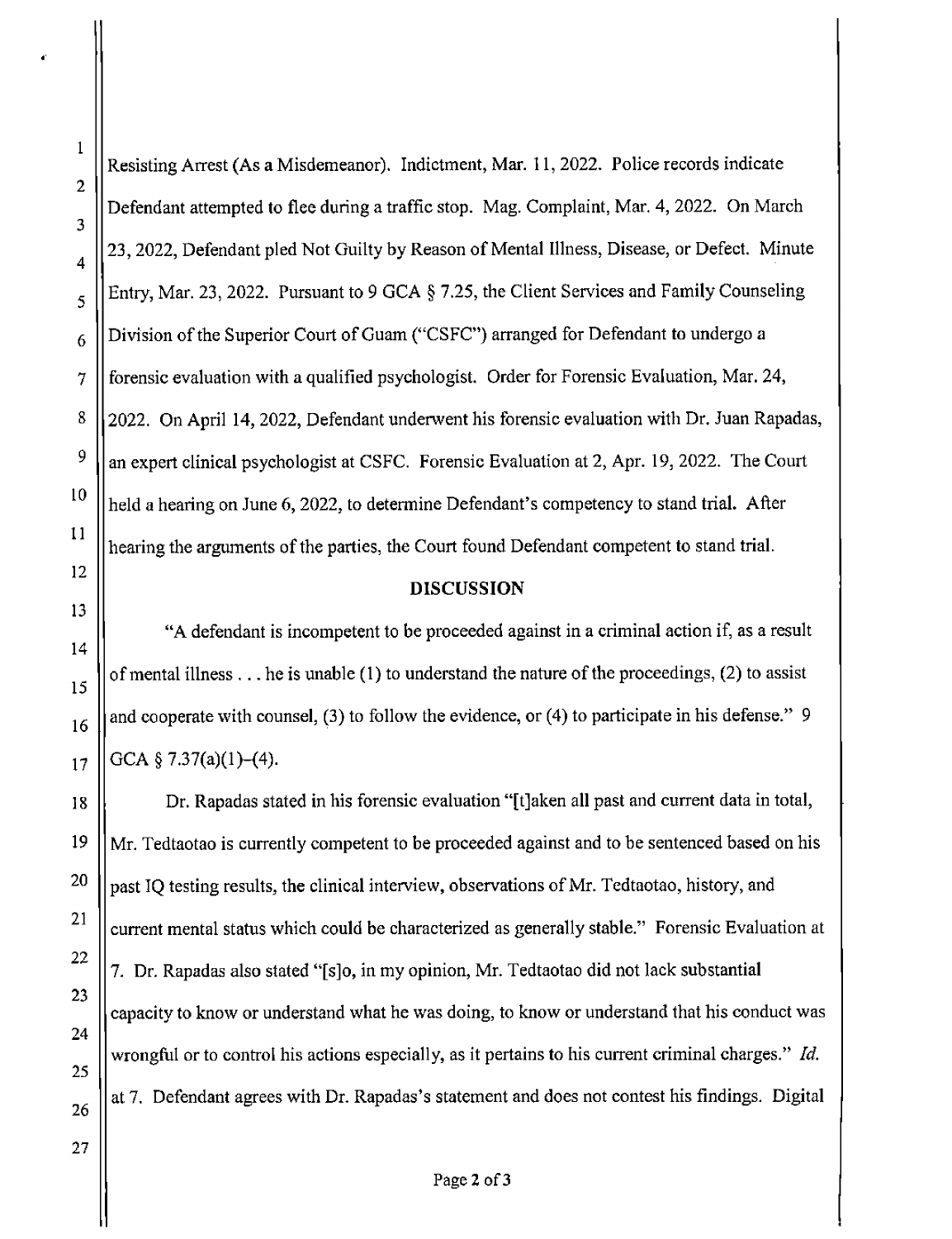I

I

I

Resisting Arrest (As a Misdemeanor). Indictment, Mar. 11, 2022. Police records indicate Defendant attempted to flee during a traffic stop. Mag. Complaint, Mar. 4, 2022. On March  $\frac{4}{4}$  23, 2022, Defendant pled Not Guilty by Reason of Mental Illness, Disease, or Defect. Minute I .  $\frac{1}{5}$  | Entry, Mar. 23, 2022. Pursuant to 9 GCA § 7.25, the Client Services and Family Counseling  $6 \parallel$  Division of the Superior Court of Guam ("CSFC") arranged for Defendant to undergo a 7 forensic evaluation with a qualified psychologist. Order for Forensic Evaluation, Mar. 24, 8 2022. On April 14, 2022, Defendant underwent his forensic evaluation with Dr. Juan Rapadas,  $9 \parallel$  an expert clinical psychologist at CSFC. Forensic Evaluation at 2, Apr. 19, 2022. The Court  $\|10\|$  held a hearing on June 6, 2022, to determine Defendant's competency to stand trial. After hearing the arguments of the parties, the Court found Defendant competent to stand trial.

I

 $\mathbf{I}$ 

## **DISCUSSION <sup>I</sup>**

"A defendant is incompetent to be proceeded against in a criminal action if, as a result 15 of mental illness ... he is unable (1) to understand the nature of the proceedings, (2) to assist  $\frac{15}{15}$  $_{16}$  || and cooperate with counsel, (3) to follow the evidence, or (4) to participate in his defense." 9 GCA  $\S$  7.37(a)(1)–(4).

18 **<sup>I</sup>** Dr. Rapadas stated in his forensic evaluation "[t]aken all past and current data in total,  $19$  ||Mr. Tedtaotao is currently competent to be proceeded against and to be sentenced based on his <sup>20</sup>  $\|\text{past IO testing results, the clinical interview, observations of Mr. Tedtaotao, history, and\|$  $21$  || current mental status which could be characterized as generally stable." Forensic Evaluation at 7. Dr. Rapadas also stated "[s]o, in my opinion, Mr. Tedtaotao did not lack substantial | capacity to know or understand what he was doing, to know or understand that his conduct was wrongful or to control his actions especially, as it pertains to his current criminal charges." Id.  $_{26}$  at 7. Defendant agrees with Dr. Rapadas's statement and does not contest his findings. Digital